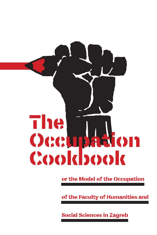# The Oecupation Cookbook

or the Model of the Occupation

of the Faculty of Humanities and

**Social Sciences in Zagreb**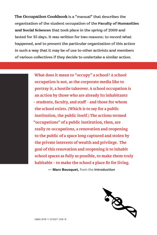The Occupation Cookbook is a "manual" that describes the organization of the student occupation of the Faculty of Humanities and Social Sciences that took place in the spring of 2009 and lasted for 35 days. It was written for two reasons: to record what happened, and to present the particular organization of this action in such a way that it may be of use to other activists and members of various collectives if they decide to undertake a similar action.

> What does it mean to "occupy" a school? A school occupation is not, as the corporate media like to portray it, a hostile takeover. A school occupation is an action by those who are already its inhabitants - students, faculty, and staff - and those for whom the school exists. (Which is to say for a public institution, the public itself.) The actions termed "occupations" of a public institution, then, are really re-occupations, a renovation and reopening to the public of a space long captured and stolen by the private interests of wealth and privilege. The goal of this renovation and reopening is to inhabit school spaces as fully as possible, to make them truly habitable - to make the school a place fit for living.

> > - Marc Bousquet, from the Introduction

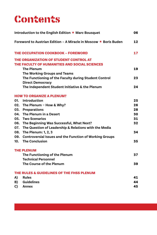## **Contents**

| Introduction to the English Edition ★ Marc Bousquet                    |                                                                                  |    |
|------------------------------------------------------------------------|----------------------------------------------------------------------------------|----|
| Foreword to Austrian Edition – A Miracle in Moscow $\star$ Boris Buden |                                                                                  | 12 |
|                                                                        | THE OCCUPATION COOKBOOK - FOREWORD                                               |    |
|                                                                        | THE ORGANIZATION OF STUDENT CONTROL AT                                           |    |
|                                                                        | THE FACULTY OF HUMANITIES AND SOCIAL SCIENCES                                    |    |
|                                                                        | The Plenum                                                                       | 19 |
|                                                                        | The Working Groups and Teams                                                     |    |
|                                                                        | The Functioning of the Faculty during Student Control<br><b>Direct Democracy</b> | 23 |
|                                                                        | The Independent Student Initiative & the Plenum                                  | 24 |
|                                                                        | <b>HOW TO ORGANIZE A PLENUM?</b>                                                 |    |
|                                                                        | 01. Introduction                                                                 | 25 |
|                                                                        | 02. The Plenum - How & Why?                                                      | 26 |
|                                                                        | 03. Preparations                                                                 | 28 |
|                                                                        | 04. The Plenum in a Desert                                                       | 30 |
|                                                                        | 05. Two Scenarios                                                                | 31 |
|                                                                        | 06. The Beginning Was Successful, What Next?                                     | 32 |
|                                                                        | 07. The Question of Leadership & Relations with the Media                        |    |
|                                                                        | 08. The Plenum: 1, 2, 3                                                          | 34 |
|                                                                        | 09. Controversial Issues and the Function of Working Groups                      |    |
| 10.                                                                    | <b>The Conclusion</b>                                                            | 35 |
|                                                                        | <b>THE PLENUM</b>                                                                |    |
|                                                                        | The Functioning of the Plenum                                                    | 37 |
|                                                                        | <b>Technical Personnel</b>                                                       |    |
|                                                                        | The Course of the Plenum                                                         | 39 |
|                                                                        | THE RULES & GUIDELINES OF THE FHSS PLENUM                                        |    |
| A)                                                                     | <b>Rules</b>                                                                     | 41 |
| B)                                                                     | <b>Guidelines</b>                                                                | 44 |
| C)                                                                     | Annex                                                                            | 45 |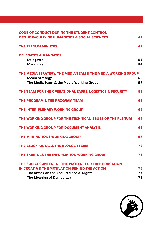| <b>CODE OF CONDUCT DURING THE STUDENT CONTROL</b>            |    |
|--------------------------------------------------------------|----|
| OF THE FACULTY OF HUMANITIES & SOCIAL SCIENCES               | 47 |
| <b>THE PLENUM MINUTES</b>                                    | 49 |
| <b>DELEGATES &amp; MANDATES</b>                              |    |
| <b>Delegates</b>                                             | 53 |
| <b>Mandates</b>                                              | 54 |
| THE MEDIA STRATEGY, THE MEDIA TEAM & THE MEDIA WORKING GROUP |    |
| <b>Media Strategy</b>                                        | 55 |
| The Media Team & the Media Working Group                     | 57 |
| THE TEAM FOR THE OPERATIONAL TASKS, LOGISTICS & SECURITY     | 59 |
| <b>THE PROGRAM &amp; THE PROGRAM TEAM</b>                    | 61 |
| THE INTER-PLENARY WORKING GROUP                              | 62 |
| THE WORKING GROUP FOR THE TECHNICAL ISSUES OF THE PLENUM     | 64 |
| THE WORKING GROUP FOR DOCUMENT ANALYSIS                      | 66 |
| THE MINI-ACTIONS WORKING GROUP                               | 68 |
| <b>THE BLOG/PORTAL &amp; THE BLOGGER TEAM</b>                | 72 |
| THE SKRIPTA & THE INFORMATION WORKING GROUP                  | 73 |
| THE SOCIAL CONTEXT OF THE PROTEST FOR FREE EDUCATION         |    |
| IN CROATIA & THE MOTIVATION BEHIND THE ACTION                | 76 |
| The Attack on the Acquired Social Rights                     | 77 |
| The Meaning of Democracy                                     | 78 |

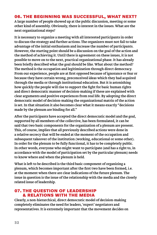#### **06. The Beginning Was Successful, What Next?**

A large number of people showed up at the public discussion, meeting or some other kind of assembly. Obviously, there is interest in the issues. What are the next organizational steps?

It is necessary to organize a meeting with all interested participants in order to discuss the strategy and further actions. The organizers must not fail to take advantage of the initial enthusiasm and increase the number of participants. However, the starting point should be a discussion on the goal of the action and the method of achieving it. Until there is agreement on these issues, it is not possible to move on to the next, practical organizational phase. It has already been briefly described what the goal should be like. What about the method? The method is the occupation and legitimization through direct democracy. From our experience, people are at first opposed because of ignorance or fear or because they have certain wrong, preconceived ideas which they had acquired through the media or through institutional education. But it is astonishing how quickly the people will rise to support the fight for basic human rights and direct democratic manner of decision-making if these are explained with clear arguments and positive experiences from real life. By adopting the direct democratic model of decision-making the organizational matrix of the action is set. In that situation it also becomes clear what it means exactly "decisions made by the plenum are binding for all."

After the participants have accepted the direct democratic model and the goal, supported by all members of the collective, has been formulated, it can be said that two basic components for the organization of a plenum are present. This, of course, implies that all previously described actions were done in a relative secrecy that will be ended at the moment of the occupation and subsequent takeover of the institution (working, educational or some other). In order for the plenum to be fully functional, it has to be completely public. In other words, everyone who might want to participate (and has a right to, in accordance with the model of participation set by the particular plenum) needs to know where and when the plenum is held.

What is left to be described is the third basic component of organizing a plenum, which becomes important after the first two have been formed, i.e. at the moment when there are clear indications of the future plenum. The issue in question is the issue of the relationship with the media and the closely related issue of leadership.

## **<sup>07</sup>. The Question of Leadership & Relations with the Media**

Clearly, a non-hierarchical, direct democratic model of decision-making completely eliminates the need for leaders, 'expert' negotiators and representatives. It is extremely important that the movement decides on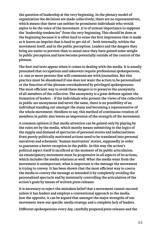the question of leadership at the very beginning. In the plenary model of organization the decisions are made collectively; there are no representatives, which means that there can neither be prominent individuals who would aspire to be the voice of the movement. It is of utmost importance to suppress the 'leadership tendencies" from the very beginning. This should be done at the beginning because it is often hard to erase the first impression that is made as it leaves an imprint that is hard to get rid of – both internally, within the movement itself, and in the public perception. Leaders and the dangers they bring are easier to prevent than to annul once they have gained some weight in public perception and have become potentially outside of the control of the plenum.

The first real tests appear when it comes to dealing with the media. It is usually presumed that occupations and takeovers require professional spokespersons, i.e. one or more persons that will communicate with journalists. But this practice must be abandoned if one does not want the action to be personalized or the function of the plenum overshadowed by privileged spokespersons. The most efficient way to avoid these dangers is to preserve the anonymity of all members of the collective. The anonymity is a great defense against the formation of leaders – if the individuals who present the views of the collective in public are anonymous and never the same, there is no possibility of an individual standing out amongst the many and becoming a representative of the whole movement. Needless to say, this method of continuous rotation of members in public also leaves an impression of the strength of the movement.

A common opinion is that media attention can be gained only by playing by the rules set by the media, which mostly means submitting to the logics of the supply and demand of spectacles of personal stories and indiscreetness. Even purely politically motivated actions need to be translated into personal narratives and schematic 'human motivation' stories, supposedly in order to guarantee a better reception in the public. In this way the action's political aspect itself is sacrificed at the moment of its public articulation. An emancipatory movement must be progressive in all aspects of its actions, which includes the media relations as well. What the media want from the movement is unimportant; what is important is the message the movement is trying to convey. It has been shown that the most efficient way to coerce the media to convey the message as intended is by completely avoiding the personalized spectacle and by insistently controlling the articulation of the action's goals by means of written press releases.

It is necessary to reject the mistaken belief that a movement cannot succeed unless it has leaders and employs a conventional approach to the media. Just the opposite, it can be argued that amongst the major strengths of our movement were our specific media strategy and a complete lack of leaders.

Different spokespersons every day, carefully prepared press releases and the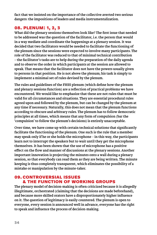fact that we insisted on the importance of the collective averted two serious dangers: the impositions of leaders and media instrumentalization.

### **08. Plenum: 1, 2, 3**

What did the plenary sessions themselves look like? The first issue that needed to be addressed was the question of the facilitator, i.e. the person that would in a way mediate and coordinate the happenings at a plenary session. It was decided that two facilitators would be needed to facilitate the functioning of the plenum since the sessions were expected to involve many participants. The role of the facilitator was reduced to that of minimal technical contribution – the facilitator's tasks are to help during the preparation of the daily agenda and to observe the order in which participants at the session are allowed to speak. That means that the facilitator does not have the powers usually given to persons in that position. He is not above the plenum; his task is simply to implement a minimal set of rules devised by the plenum.

The rules and guidelines of the FHSS plenum (which define how the plenum and plenary sessions function) are a reflection of practical problems we have encountered. We would like to emphasize that these are not rules that must be valid for all circumstances and situations. They are essential procedural rules agreed upon and followed by the plenum, but can be changed by the plenum at any time if necessary. Naturally, this does not mean that the plenum functions according to obscure and arbitrary rules. The plenum has to follow democratic principles at all times, which means that any form of compulsion (bar the 'compulsion' to follow the plenum's decisions) is entirely unacceptable.

Over time, we have come up with certain technical solutions that significantly facilitate the functioning of the plenum. One such is the rule that a member may speak only if he or she holds the microphone – in this way, the participants learn not to interrupt the speakers but to wait until they get the microphone themselves. It has been shown that the use of microphone has a positive effect on the flow and manner of discussions at the plenary sessions. Another important innovation is projecting the minutes onto a wall during a plenary session, so that everybody can read them as they are being written. The minute keeping is thus completely transparent, which eliminates the possibility of a mistake or manipulation by the minute-taker.

## **<sup>09</sup>. Controversial Issues & the Function of Working Groups**

The plenary model of decision-making is often criticized because it is allegedly illegitimate, orchestrated (claiming that the decisions are made beforehand), and because more skilled orators have a disproportionately higher influence on it. The question of legitimacy is easily countered. The plenum is open to everyone, every session is announced well in advance, everyone has the right to speak and influence the process of decision-making.